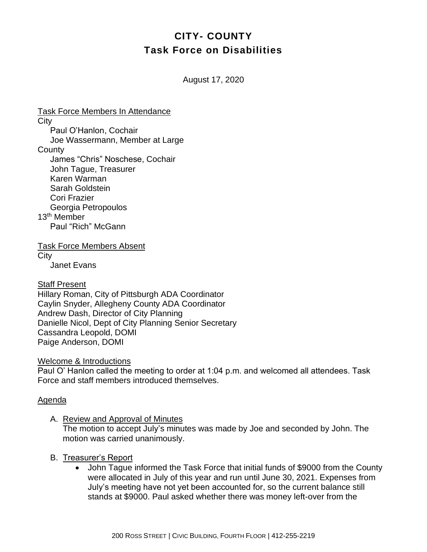# **CITY- COUNTY Task Force on Disabilities**

August 17, 2020

Task Force Members In Attendance **City** Paul O'Hanlon, Cochair Joe Wassermann, Member at Large **County** James "Chris" Noschese, Cochair John Tague, Treasurer Karen Warman Sarah Goldstein Cori Frazier Georgia Petropoulos 13<sup>th</sup> Member Paul "Rich" McGann Task Force Members Absent **City** 

Janet Evans

Staff Present

Hillary Roman, City of Pittsburgh ADA Coordinator Caylin Snyder, Allegheny County ADA Coordinator Andrew Dash, Director of City Planning Danielle Nicol, Dept of City Planning Senior Secretary Cassandra Leopold, DOMI Paige Anderson, DOMI

Welcome & Introductions

Paul O' Hanlon called the meeting to order at 1:04 p.m. and welcomed all attendees. Task Force and staff members introduced themselves.

#### Agenda

A. Review and Approval of Minutes

The motion to accept July's minutes was made by Joe and seconded by John. The motion was carried unanimously.

- B. Treasurer's Report
	- John Tague informed the Task Force that initial funds of \$9000 from the County were allocated in July of this year and run until June 30, 2021. Expenses from July's meeting have not yet been accounted for, so the current balance still stands at \$9000. Paul asked whether there was money left-over from the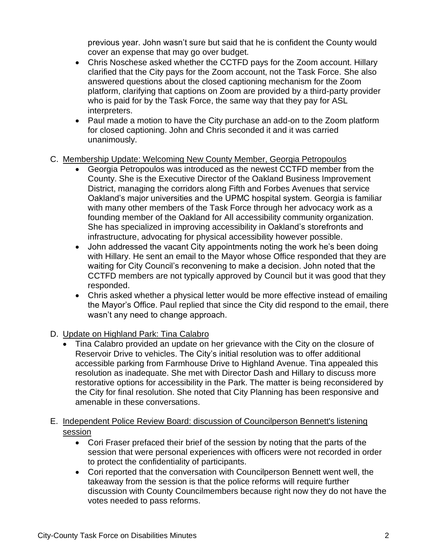previous year. John wasn't sure but said that he is confident the County would cover an expense that may go over budget.

- Chris Noschese asked whether the CCTFD pays for the Zoom account. Hillary clarified that the City pays for the Zoom account, not the Task Force. She also answered questions about the closed captioning mechanism for the Zoom platform, clarifying that captions on Zoom are provided by a third-party provider who is paid for by the Task Force, the same way that they pay for ASL interpreters.
- Paul made a motion to have the City purchase an add-on to the Zoom platform for closed captioning. John and Chris seconded it and it was carried unanimously.

## C. Membership Update: Welcoming New County Member, Georgia Petropoulos

- Georgia Petropoulos was introduced as the newest CCTFD member from the County. She is the Executive Director of the Oakland Business Improvement District, managing the corridors along Fifth and Forbes Avenues that service Oakland's major universities and the UPMC hospital system. Georgia is familiar with many other members of the Task Force through her advocacy work as a founding member of the Oakland for All accessibility community organization. She has specialized in improving accessibility in Oakland's storefronts and infrastructure, advocating for physical accessibility however possible.
- John addressed the vacant City appointments noting the work he's been doing with Hillary. He sent an email to the Mayor whose Office responded that they are waiting for City Council's reconvening to make a decision. John noted that the CCTFD members are not typically approved by Council but it was good that they responded.
- Chris asked whether a physical letter would be more effective instead of emailing the Mayor's Office. Paul replied that since the City did respond to the email, there wasn't any need to change approach.

## D. Update on Highland Park: Tina Calabro

• Tina Calabro provided an update on her grievance with the City on the closure of Reservoir Drive to vehicles. The City's initial resolution was to offer additional accessible parking from Farmhouse Drive to Highland Avenue. Tina appealed this resolution as inadequate. She met with Director Dash and Hillary to discuss more restorative options for accessibility in the Park. The matter is being reconsidered by the City for final resolution. She noted that City Planning has been responsive and amenable in these conversations.

## E. Independent Police Review Board: discussion of Councilperson Bennett's listening session

- Cori Fraser prefaced their brief of the session by noting that the parts of the session that were personal experiences with officers were not recorded in order to protect the confidentiality of participants.
- Cori reported that the conversation with Councilperson Bennett went well, the takeaway from the session is that the police reforms will require further discussion with County Councilmembers because right now they do not have the votes needed to pass reforms.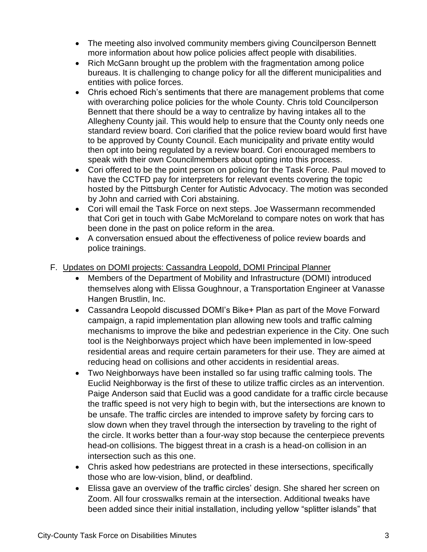- The meeting also involved community members giving Councilperson Bennett more information about how police policies affect people with disabilities.
- Rich McGann brought up the problem with the fragmentation among police bureaus. It is challenging to change policy for all the different municipalities and entities with police forces.
- Chris echoed Rich's sentiments that there are management problems that come with overarching police policies for the whole County. Chris told Councilperson Bennett that there should be a way to centralize by having intakes all to the Allegheny County jail. This would help to ensure that the County only needs one standard review board. Cori clarified that the police review board would first have to be approved by County Council. Each municipality and private entity would then opt into being regulated by a review board. Cori encouraged members to speak with their own Councilmembers about opting into this process.
- Cori offered to be the point person on policing for the Task Force. Paul moved to have the CCTFD pay for interpreters for relevant events covering the topic hosted by the Pittsburgh Center for Autistic Advocacy. The motion was seconded by John and carried with Cori abstaining.
- Cori will email the Task Force on next steps. Joe Wassermann recommended that Cori get in touch with Gabe McMoreland to compare notes on work that has been done in the past on police reform in the area.
- A conversation ensued about the effectiveness of police review boards and police trainings.
- F. Updates on DOMI projects: Cassandra Leopold, DOMI Principal Planner
	- Members of the Department of Mobility and Infrastructure (DOMI) introduced themselves along with Elissa Goughnour, a Transportation Engineer at Vanasse Hangen Brustlin, Inc.
	- Cassandra Leopold discussed DOMI's Bike+ Plan as part of the Move Forward campaign, a rapid implementation plan allowing new tools and traffic calming mechanisms to improve the bike and pedestrian experience in the City. One such tool is the Neighborways project which have been implemented in low-speed residential areas and require certain parameters for their use. They are aimed at reducing head on collisions and other accidents in residential areas.
	- Two Neighborways have been installed so far using traffic calming tools. The Euclid Neighborway is the first of these to utilize traffic circles as an intervention. Paige Anderson said that Euclid was a good candidate for a traffic circle because the traffic speed is not very high to begin with, but the intersections are known to be unsafe. The traffic circles are intended to improve safety by forcing cars to slow down when they travel through the intersection by traveling to the right of the circle. It works better than a four-way stop because the centerpiece prevents head-on collisions. The biggest threat in a crash is a head-on collision in an intersection such as this one.
	- Chris asked how pedestrians are protected in these intersections, specifically those who are low-vision, blind, or deafblind.
	- Elissa gave an overview of the traffic circles' design. She shared her screen on Zoom. All four crosswalks remain at the intersection. Additional tweaks have been added since their initial installation, including yellow "splitter islands" that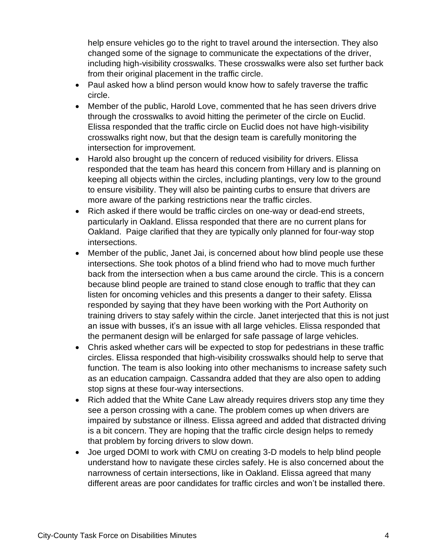help ensure vehicles go to the right to travel around the intersection. They also changed some of the signage to communicate the expectations of the driver, including high-visibility crosswalks. These crosswalks were also set further back from their original placement in the traffic circle.

- Paul asked how a blind person would know how to safely traverse the traffic circle.
- Member of the public, Harold Love, commented that he has seen drivers drive through the crosswalks to avoid hitting the perimeter of the circle on Euclid. Elissa responded that the traffic circle on Euclid does not have high-visibility crosswalks right now, but that the design team is carefully monitoring the intersection for improvement.
- Harold also brought up the concern of reduced visibility for drivers. Elissa responded that the team has heard this concern from Hillary and is planning on keeping all objects within the circles, including plantings, very low to the ground to ensure visibility. They will also be painting curbs to ensure that drivers are more aware of the parking restrictions near the traffic circles.
- Rich asked if there would be traffic circles on one-way or dead-end streets, particularly in Oakland. Elissa responded that there are no current plans for Oakland. Paige clarified that they are typically only planned for four-way stop intersections.
- Member of the public, Janet Jai, is concerned about how blind people use these intersections. She took photos of a blind friend who had to move much further back from the intersection when a bus came around the circle. This is a concern because blind people are trained to stand close enough to traffic that they can listen for oncoming vehicles and this presents a danger to their safety. Elissa responded by saying that they have been working with the Port Authority on training drivers to stay safely within the circle. Janet interjected that this is not just an issue with busses, it's an issue with all large vehicles. Elissa responded that the permanent design will be enlarged for safe passage of large vehicles.
- Chris asked whether cars will be expected to stop for pedestrians in these traffic circles. Elissa responded that high-visibility crosswalks should help to serve that function. The team is also looking into other mechanisms to increase safety such as an education campaign. Cassandra added that they are also open to adding stop signs at these four-way intersections.
- Rich added that the White Cane Law already requires drivers stop any time they see a person crossing with a cane. The problem comes up when drivers are impaired by substance or illness. Elissa agreed and added that distracted driving is a bit concern. They are hoping that the traffic circle design helps to remedy that problem by forcing drivers to slow down.
- Joe urged DOMI to work with CMU on creating 3-D models to help blind people understand how to navigate these circles safely. He is also concerned about the narrowness of certain intersections, like in Oakland. Elissa agreed that many different areas are poor candidates for traffic circles and won't be installed there.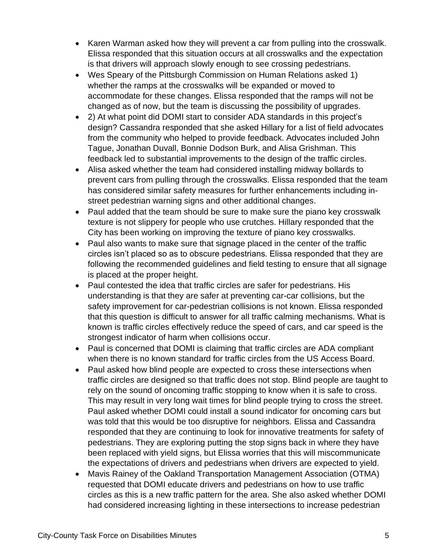- Karen Warman asked how they will prevent a car from pulling into the crosswalk. Elissa responded that this situation occurs at all crosswalks and the expectation is that drivers will approach slowly enough to see crossing pedestrians.
- Wes Speary of the Pittsburgh Commission on Human Relations asked 1) whether the ramps at the crosswalks will be expanded or moved to accommodate for these changes. Elissa responded that the ramps will not be changed as of now, but the team is discussing the possibility of upgrades.
- 2) At what point did DOMI start to consider ADA standards in this project's design? Cassandra responded that she asked Hillary for a list of field advocates from the community who helped to provide feedback. Advocates included John Tague, Jonathan Duvall, Bonnie Dodson Burk, and Alisa Grishman. This feedback led to substantial improvements to the design of the traffic circles.
- Alisa asked whether the team had considered installing midway bollards to prevent cars from pulling through the crosswalks. Elissa responded that the team has considered similar safety measures for further enhancements including instreet pedestrian warning signs and other additional changes.
- Paul added that the team should be sure to make sure the piano key crosswalk texture is not slippery for people who use crutches. Hillary responded that the City has been working on improving the texture of piano key crosswalks.
- Paul also wants to make sure that signage placed in the center of the traffic circles isn't placed so as to obscure pedestrians. Elissa responded that they are following the recommended guidelines and field testing to ensure that all signage is placed at the proper height.
- Paul contested the idea that traffic circles are safer for pedestrians. His understanding is that they are safer at preventing car-car collisions, but the safety improvement for car-pedestrian collisions is not known. Elissa responded that this question is difficult to answer for all traffic calming mechanisms. What is known is traffic circles effectively reduce the speed of cars, and car speed is the strongest indicator of harm when collisions occur.
- Paul is concerned that DOMI is claiming that traffic circles are ADA compliant when there is no known standard for traffic circles from the US Access Board.
- Paul asked how blind people are expected to cross these intersections when traffic circles are designed so that traffic does not stop. Blind people are taught to rely on the sound of oncoming traffic stopping to know when it is safe to cross. This may result in very long wait times for blind people trying to cross the street. Paul asked whether DOMI could install a sound indicator for oncoming cars but was told that this would be too disruptive for neighbors. Elissa and Cassandra responded that they are continuing to look for innovative treatments for safety of pedestrians. They are exploring putting the stop signs back in where they have been replaced with yield signs, but Elissa worries that this will miscommunicate the expectations of drivers and pedestrians when drivers are expected to yield.
- Mavis Rainey of the Oakland Transportation Management Association (OTMA) requested that DOMI educate drivers and pedestrians on how to use traffic circles as this is a new traffic pattern for the area. She also asked whether DOMI had considered increasing lighting in these intersections to increase pedestrian